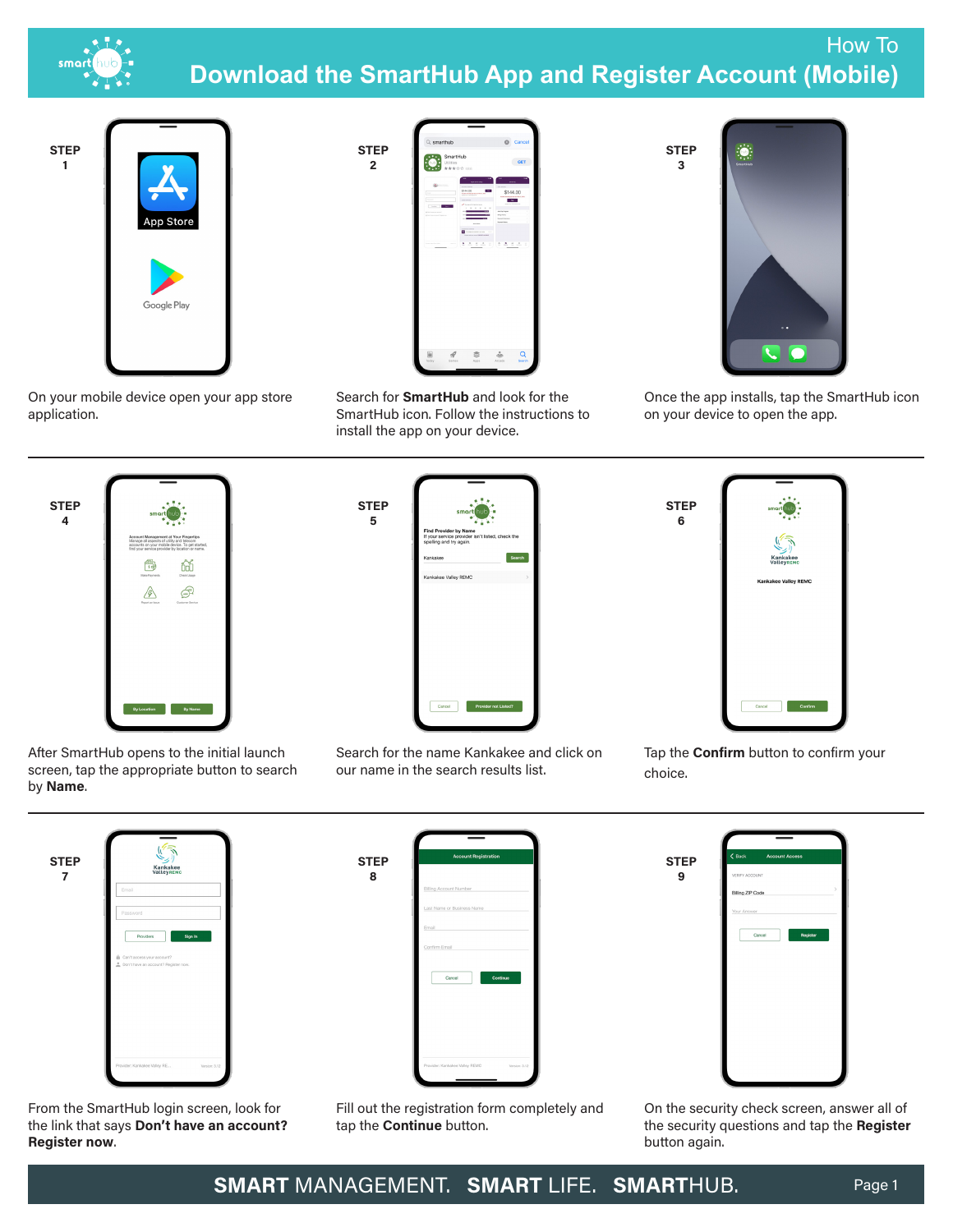

## How To **Download the SmartHub App and Register Account (Mobile)**



On your mobile device open your app store application.



Search for **SmartHub** and look for the SmartHub icon. Follow the instructions to install the app on your device.



Once the app installs, tap the SmartHub icon on your device to open the app.



After SmartHub opens to the initial launch screen, tap the appropriate button to search by **Name**.

| <b>Find Provider by Name</b><br>spelling and try again. | smart hub<br>If your service provider isn't listed, check the |                |
|---------------------------------------------------------|---------------------------------------------------------------|----------------|
| Kankakee                                                |                                                               | Search         |
| Kankakee Valley REMC                                    |                                                               | $\overline{ }$ |
|                                                         |                                                               |                |
|                                                         |                                                               |                |
|                                                         |                                                               |                |
|                                                         |                                                               |                |
|                                                         |                                                               |                |
|                                                         |                                                               |                |
| Cancel                                                  | <b>Provider not Listed?</b>                                   |                |
|                                                         |                                                               |                |

Search for the name Kankakee and click on our name in the search results list.

Tap the **Confirm** button to confirm your choice.

**9**

**STEP 6**

**STEP 3**

| <b>STEP</b><br>7 | Kankakee<br>ValleyREMC                                                                     |
|------------------|--------------------------------------------------------------------------------------------|
|                  | Email                                                                                      |
|                  | Password                                                                                   |
|                  | Sign In<br>Providers<br>Can't access your account?<br>Don't have an account? Register now. |
|                  |                                                                                            |
|                  |                                                                                            |
|                  |                                                                                            |

From the SmartHub login screen, look for the link that says **Don't have an account? Register now**.



**STEP 8**

**STEP 5**

**2**

Fill out the registration form completely and tap the **Continue** button.



On the security check screen, answer all of the security questions and tap the **Register** button again.

**SMART** MANAGEMENT. **SMART** LIFE. **SMART**HUB. Page 1